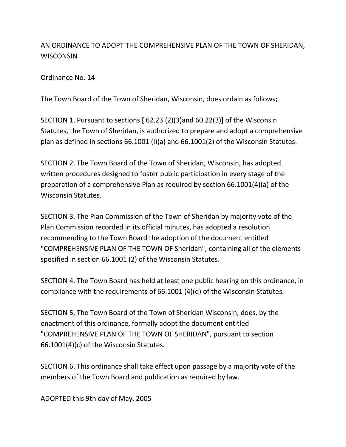## AN ORDINANCE TO ADOPT THE COMPREHENSIVE PLAN OF THE TOWN OF SHERIDAN, **WISCONSIN**

Ordinance No. 14

The Town Board of the Town of Sheridan, Wisconsin, does ordain as follows;

SECTION 1. Pursuant to sections [ 62.23 (2)(3)and 60.22(3)] of the Wisconsin Statutes, the Town of Sheridan, is authorized to prepare and adopt a comprehensive plan as defined in sections 66.1001 (l)(a) and 66.1001(2) of the Wisconsin Statutes.

SECTION 2. The Town Board of the Town of Sheridan, Wisconsin, has adopted written procedures designed to foster public participation in every stage of the preparation of a comprehensive Plan as required by section 66.1001(4)(a) of the Wisconsin Statutes.

SECTION 3. The Plan Commission of the Town of Sheridan by majority vote of the Plan Commission recorded in its official minutes, has adopted a resolution recommending to the Town Board the adoption of the document entitled "COMPREHENSIVE PLAN OF THE TOWN OF Sheridan", containing all of the elements specified in section 66.1001 (2) of the Wisconsin Statutes.

SECTION 4. The Town Board has held at least one public hearing on this ordinance, in compliance with the requirements of 66.1001 (4)(d) of the Wisconsin Statutes.

SECTION 5, The Town Board of the Town of Sheridan Wisconsin, does, by the enactment of this ordinance, formally adopt the document entitled "COMPREHENSIVE PLAN OF THE TOWN OF SHERIDAN", pursuant to section 66.1001(4)(c) of the Wisconsin Statutes.

SECTION 6. This ordinance shall take effect upon passage by a majority vote of the members of the Town Board and publication as required by law.

ADOPTED this 9th day of May, 2005